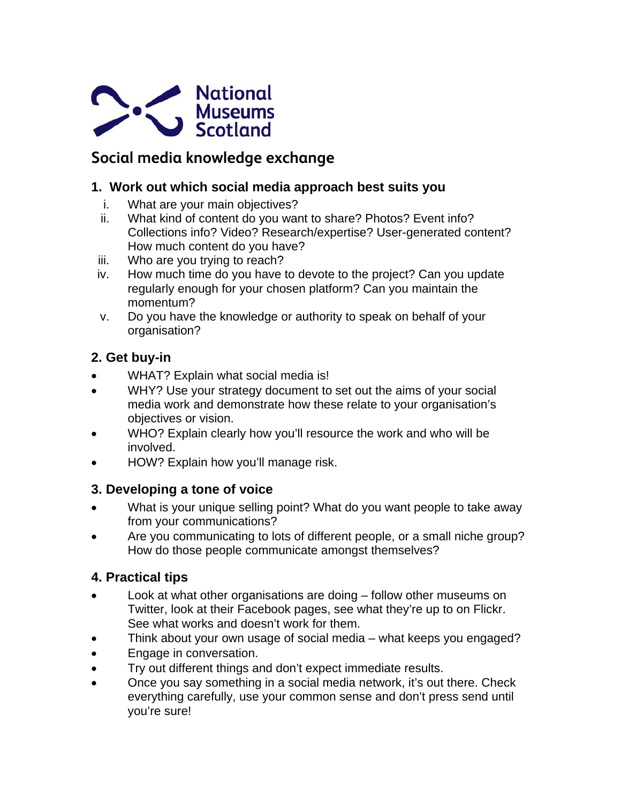

# **Social media knowledge exchange**

## **1. Work out which social media approach best suits you**

- i. What are your main objectives?
- ii. What kind of content do you want to share? Photos? Event info? Collections info? Video? Research/expertise? User-generated content? How much content do you have?
- iii. Who are you trying to reach?
- iv. How much time do you have to devote to the project? Can you update regularly enough for your chosen platform? Can you maintain the momentum?
- v. Do you have the knowledge or authority to speak on behalf of your organisation?

# **2. Get buy-in**

- WHAT? Explain what social media is!
- WHY? Use your strategy document to set out the aims of your social media work and demonstrate how these relate to your organisation's objectives or vision.
- WHO? Explain clearly how you'll resource the work and who will be involved.
- HOW? Explain how you'll manage risk.

# **3. Developing a tone of voice**

- What is your unique selling point? What do you want people to take away from your communications?
- Are you communicating to lots of different people, or a small niche group? How do those people communicate amongst themselves?

# **4. Practical tips**

- Look at what other organisations are doing follow other museums on Twitter, look at their Facebook pages, see what they're up to on Flickr. See what works and doesn't work for them.
- Think about your own usage of social media what keeps you engaged?
- **Engage in conversation.**
- Try out different things and don't expect immediate results.
- Once you say something in a social media network, it's out there. Check everything carefully, use your common sense and don't press send until you're sure!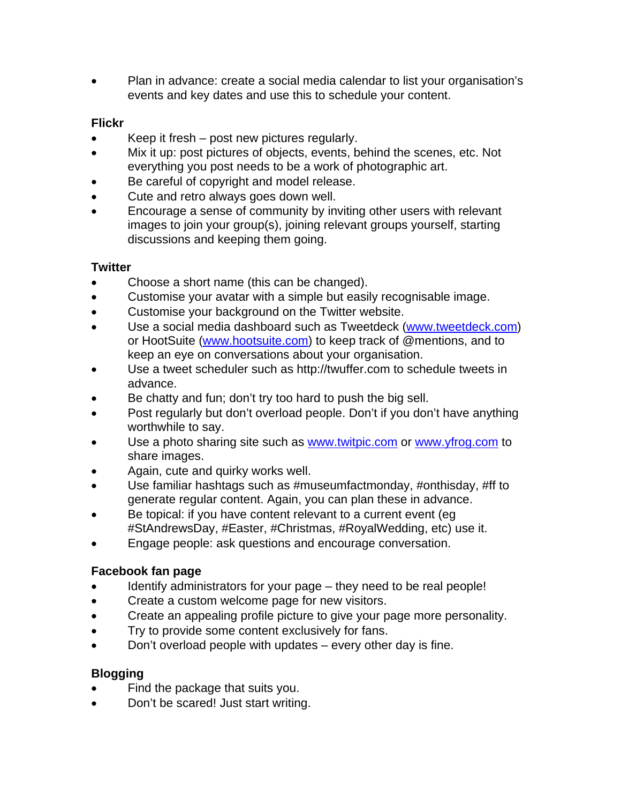Plan in advance: create a social media calendar to list your organisation's events and key dates and use this to schedule your content.

#### **Flickr**

- Keep it fresh post new pictures regularly.
- Mix it up: post pictures of objects, events, behind the scenes, etc. Not everything you post needs to be a work of photographic art.
- Be careful of copyright and model release.
- Cute and retro always goes down well.
- Encourage a sense of community by inviting other users with relevant images to join your group(s), joining relevant groups yourself, starting discussions and keeping them going.

#### **Twitter**

- Choose a short name (this can be changed).
- Customise your avatar with a simple but easily recognisable image.
- Customise your background on the Twitter website.
- Use a social media dashboard such as Tweetdeck ([www.tweetdeck.com](http://www.tweetdeck.com/)) or HootSuite [\(www.hootsuite.com](http://www.hootsuite.com/)) to keep track of @mentions, and to keep an eye on conversations about your organisation.
- Use a tweet scheduler such as [http://twuffer.com](http://twuffer.com/) to schedule tweets in advance.
- Be chatty and fun; don't try too hard to push the big sell.
- Post regularly but don't overload people. Don't if you don't have anything worthwhile to say.
- Use a photo sharing site such as [www.twitpic.com](http://www.twitpic.com/) or [www.yfrog.com](http://www.yfrog.com/) to share images.
- Again, cute and quirky works well.
- Use familiar hashtags such as #museumfactmonday, #onthisday, #ff to generate regular content. Again, you can plan these in advance.
- Be topical: if you have content relevant to a current event (eg #StAndrewsDay, #Easter, #Christmas, #RoyalWedding, etc) use it.
- Engage people: ask questions and encourage conversation.

#### **Facebook fan page**

- Identify administrators for your page they need to be real people!
- Create a custom welcome page for new visitors.
- Create an appealing profile picture to give your page more personality.
- Try to provide some content exclusively for fans.
- Don't overload people with updates every other day is fine.

#### **Blogging**

- Find the package that suits you.
- Don't be scared! Just start writing.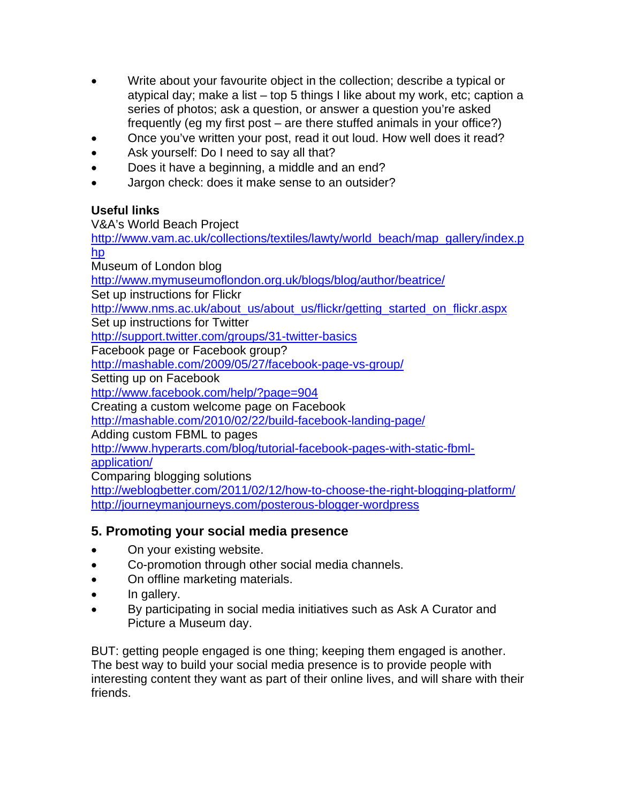- Write about your favourite object in the collection; describe a typical or atypical day; make a list – top 5 things I like about my work, etc; caption a series of photos; ask a question, or answer a question you're asked frequently (eg my first post – are there stuffed animals in your office?)
- Once you've written your post, read it out loud. How well does it read?
- Ask yourself: Do I need to say all that?
- Does it have a beginning, a middle and an end?
- Jargon check: does it make sense to an outsider?

#### **Useful links**

V&A's World Beach Project

[http://www.vam.ac.uk/collections/textiles/lawty/world\\_beach/map\\_gallery/index.p](http://www.vam.ac.uk/collections/textiles/lawty/world_beach/map_gallery/index.php) [hp](http://www.vam.ac.uk/collections/textiles/lawty/world_beach/map_gallery/index.php) Museum of London blog

<http://www.mymuseumoflondon.org.uk/blogs/blog/author/beatrice/>

Set up instructions for Flickr

[http://www.nms.ac.uk/about\\_us/about\\_us/flickr/getting\\_started\\_on\\_flickr.aspx](http://www.nms.ac.uk/about_us/about_us/flickr/getting_started_on_flickr.aspx)

Set up instructions for Twitter

<http://support.twitter.com/groups/31-twitter-basics>

Facebook page or Facebook group?

<http://mashable.com/2009/05/27/facebook-page-vs-group/>

Setting up on Facebook

<http://www.facebook.com/help/?page=904>

Creating a custom welcome page on Facebook

<http://mashable.com/2010/02/22/build-facebook-landing-page/>

Adding custom FBML to pages

[http://www.hyperarts.com/blog/tutorial-facebook-pages-with-static-fbml-](http://www.hyperarts.com/blog/tutorial-facebook-pages-with-static-fbml-application/)

[application/](http://www.hyperarts.com/blog/tutorial-facebook-pages-with-static-fbml-application/)

Comparing blogging solutions

<http://weblogbetter.com/2011/02/12/how-to-choose-the-right-blogging-platform/> <http://journeymanjourneys.com/posterous-blogger-wordpress>

# **5. Promoting your social media presence**

- On your existing website.
- Co-promotion through other social media channels.
- On offline marketing materials.
- In gallery.
- By participating in social media initiatives such as Ask A Curator and Picture a Museum day.

BUT: getting people engaged is one thing; keeping them engaged is another. The best way to build your social media presence is to provide people with interesting content they want as part of their online lives, and will share with their friends.